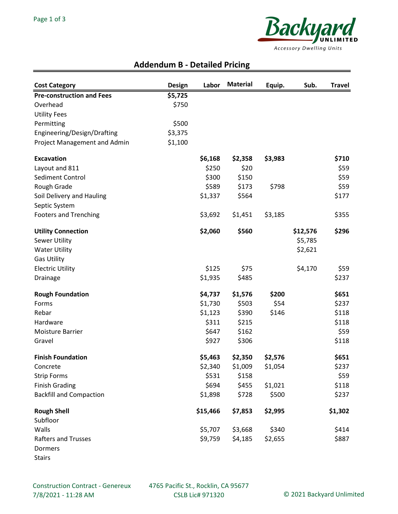

## Addendum B - Detailed Pricing

| <b>Cost Category</b>                  | <b>Design</b> | Labor    | <b>Material</b> | Equip.  | Sub.     | <b>Travel</b> |
|---------------------------------------|---------------|----------|-----------------|---------|----------|---------------|
| <b>Pre-construction and Fees</b>      | \$5,725       |          |                 |         |          |               |
| Overhead                              | \$750         |          |                 |         |          |               |
| <b>Utility Fees</b>                   |               |          |                 |         |          |               |
| Permitting                            | \$500         |          |                 |         |          |               |
| Engineering/Design/Drafting           | \$3,375       |          |                 |         |          |               |
| Project Management and Admin          | \$1,100       |          |                 |         |          |               |
| <b>Excavation</b>                     |               | \$6,168  | \$2,358         | \$3,983 |          | \$710         |
| Layout and 811                        |               | \$250    | \$20            |         |          | \$59          |
| Sediment Control                      |               | \$300    | \$150           |         |          | \$59          |
| Rough Grade                           |               | \$589    | \$173           | \$798   |          | \$59          |
| Soil Delivery and Hauling             |               | \$1,337  | \$564           |         |          | \$177         |
| Septic System                         |               |          |                 |         |          |               |
| <b>Footers and Trenching</b>          |               | \$3,692  | \$1,451         | \$3,185 |          | \$355         |
| <b>Utility Connection</b>             |               | \$2,060  | \$560           |         | \$12,576 | \$296         |
| Sewer Utility                         |               |          |                 |         | \$5,785  |               |
| <b>Water Utility</b>                  |               |          |                 |         | \$2,621  |               |
| <b>Gas Utility</b>                    |               |          |                 |         |          |               |
| <b>Electric Utility</b>               |               | \$125    | \$75            |         | \$4,170  | \$59          |
| <b>Drainage</b>                       |               | \$1,935  | \$485           |         |          | \$237         |
| <b>Rough Foundation</b>               |               | \$4,737  | \$1,576         | \$200   |          | \$651         |
| Forms                                 |               | \$1,730  | \$503           | \$54    |          | \$237         |
| Rebar                                 |               | \$1,123  | \$390           | \$146   |          | \$118         |
| Hardware                              |               | \$311    | \$215           |         |          | \$118         |
| <b>Moisture Barrier</b>               |               | \$647    | \$162           |         |          | \$59          |
| Gravel                                |               | \$927    | \$306           |         |          | \$118         |
| <b>Finish Foundation</b>              |               | \$5,463  | \$2,350         | \$2,576 |          | \$651         |
| Concrete                              |               | \$2,340  | \$1,009         | \$1,054 |          | \$237         |
| <b>Strip Forms</b>                    |               | \$531    | \$158           |         |          | \$59          |
| <b>Finish Grading</b>                 |               | \$694    | \$455           | \$1,021 |          | \$118         |
| <b>Backfill and Compaction</b>        |               | \$1,898  | \$728           | \$500   |          | \$237         |
| <b>Rough Shell</b>                    |               | \$15,466 | \$7,853         | \$2,995 |          | \$1,302       |
| Subfloor                              |               |          |                 |         |          |               |
| Walls                                 |               | \$5,707  | \$3,668         | \$340   |          | \$414         |
| <b>Rafters and Trusses</b><br>Dormers |               | \$9,759  | \$4,185         | \$2,655 |          | \$887         |
| <b>Stairs</b>                         |               |          |                 |         |          |               |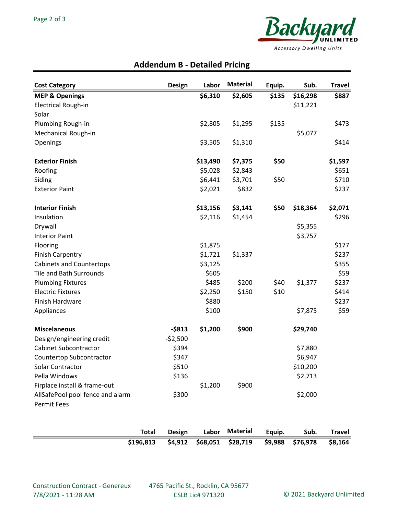

## Addendum B - Detailed Pricing

| <b>Cost Category</b>                                   | <b>Design</b> | Labor    | <b>Material</b> | Equip. | Sub.     | <b>Travel</b> |
|--------------------------------------------------------|---------------|----------|-----------------|--------|----------|---------------|
| <b>MEP &amp; Openings</b>                              |               | \$6,310  | \$2,605         | \$135  | \$16,298 | \$887         |
| <b>Electrical Rough-in</b>                             |               |          |                 |        | \$11,221 |               |
| Solar                                                  |               |          |                 |        |          |               |
| Plumbing Rough-in                                      |               | \$2,805  | \$1,295         | \$135  |          | \$473         |
| Mechanical Rough-in                                    |               |          |                 |        | \$5,077  |               |
| Openings                                               |               | \$3,505  | \$1,310         |        |          | \$414         |
| <b>Exterior Finish</b>                                 |               | \$13,490 | \$7,375         | \$50   |          | \$1,597       |
| Roofing                                                |               | \$5,028  | \$2,843         |        |          | \$651         |
| Siding                                                 |               | \$6,441  | \$3,701         | \$50   |          | \$710         |
| <b>Exterior Paint</b>                                  |               | \$2,021  | \$832           |        |          | \$237         |
| <b>Interior Finish</b>                                 |               | \$13,156 | \$3,141         | \$50   | \$18,364 | \$2,071       |
| Insulation                                             |               | \$2,116  | \$1,454         |        |          | \$296         |
| Drywall                                                |               |          |                 |        | \$5,355  |               |
| <b>Interior Paint</b>                                  |               |          |                 |        | \$3,757  |               |
| Flooring                                               |               | \$1,875  |                 |        |          | \$177         |
| <b>Finish Carpentry</b>                                |               | \$1,721  | \$1,337         |        |          | \$237         |
| <b>Cabinets and Countertops</b>                        |               | \$3,125  |                 |        |          | \$355         |
| <b>Tile and Bath Surrounds</b>                         |               | \$605    |                 |        |          | \$59          |
| <b>Plumbing Fixtures</b>                               |               | \$485    | \$200           | \$40   | \$1,377  | \$237         |
| <b>Electric Fixtures</b>                               |               | \$2,250  | \$150           | \$10   |          | \$414         |
| Finish Hardware                                        |               | \$880    |                 |        |          | \$237         |
| Appliances                                             |               | \$100    |                 |        | \$7,875  | \$59          |
| <b>Miscelaneous</b>                                    | $-$ \$813     | \$1,200  | \$900           |        | \$29,740 |               |
| Design/engineering credit                              | $-52,500$     |          |                 |        |          |               |
| <b>Cabinet Subcontractor</b>                           | \$394         |          |                 |        | \$7,880  |               |
| Countertop Subcontractor                               | \$347         |          |                 |        | \$6,947  |               |
| Solar Contractor                                       | \$510         |          |                 |        | \$10,200 |               |
| Pella Windows                                          | \$136         |          |                 |        | \$2,713  |               |
| Firplace install & frame-out                           |               | \$1,200  | \$900           |        |          |               |
| AllSafePool pool fence and alarm<br><b>Permit Fees</b> | \$300         |          |                 |        | \$2,000  |               |

| Total | <b>Design</b> | Labor Material Equip.                                        | Sub. | Travel |
|-------|---------------|--------------------------------------------------------------|------|--------|
|       |               | \$196,813 \$4,912 \$68,051 \$28,719 \$9,988 \$76,978 \$8,164 |      |        |